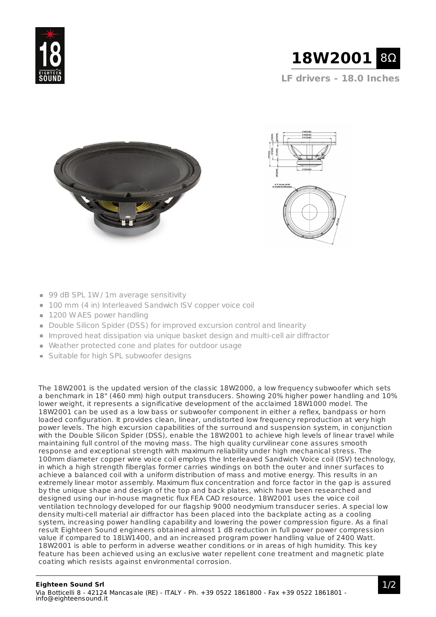

**LF drivers - 18.0 Inches**





- 99 dB SPL 1W / 1m average sensitivity
- 100 mm (4 in) Interleaved Sandwich ISV copper voice coil
- 1200 W AES power handling
- Double Silicon Spider (DSS) for improved excursion control and linearity
- Improved heat dissipation via unique basket design and multi-cell air diffractor
- Weather protected cone and plates for outdoor usage
- **Suitable for high SPL subwoofer designs**

The 18W2001 is the updated version of the classic 18W2000, a low frequency subwoofer which sets a benchmark in 18" (460 mm) high output transducers. Showing 20% higher power handling and 10% lower weight, it represents a significative development of the acclaimed 18W1000 model. The 18W2001 can be used as a low bass or subwoofer component in either a reflex, bandpass or horn loaded configuration. It provides clean, linear, undistorted low frequency reproduction at very high power levels. The high excursion capabilities of the surround and suspension system, in conjunction with the Double Silicon Spider (DSS), enable the 18W2001 to achieve high levels of linear travel while maintaining full control of the moving mass. The high quality curvilinear cone assures smooth response and exceptional strength with maximum reliability under high mechanical stress. The 100mm diameter copper wire voice coil employs the Interleaved Sandwich Voice coil (ISV) technology, in which a high strength fiberglas former carries windings on both the outer and inner surfaces to achieve a balanced coil with a uniform distribution of mass and motive energy. This results in an extremely linear motor assembly. Maximum flux concentration and force factor in the gap is assured by the unique shape and design of the top and back plates, which have been researched and designed using our in-house magnetic flux FEA CAD resource. 18W2001 uses the voice coil ventilation technology developed for our flagship 9000 neodymium transducer series. A special low density multi-cell material air diffractor has been placed into the backplate acting as a cooling system, increasing power handling capability and lowering the power compression figure. As a final result Eighteen Sound engineers obtained almost 1 dB reduction in full power power compression value if compared to 18LW1400, and an increased program power handling value of 2400 Watt. 18W2001 is able to perform in adverse weather conditions or in areas of high humidity. This key feature has been achieved using an exclusive water repellent cone treatment and magnetic plate coating which resists against environmental corrosion.